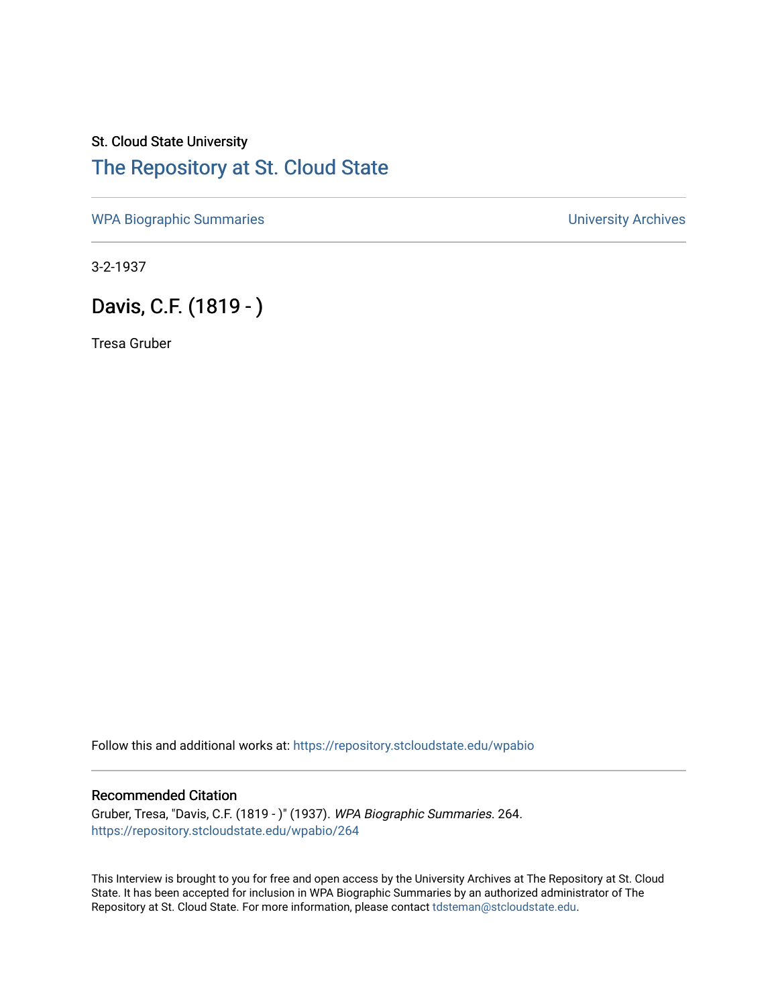## St. Cloud State University [The Repository at St. Cloud State](https://repository.stcloudstate.edu/)

[WPA Biographic Summaries](https://repository.stcloudstate.edu/wpabio) **WPA Biographic Summaries University Archives** 

3-2-1937

Davis, C.F. (1819 - )

Tresa Gruber

Follow this and additional works at: [https://repository.stcloudstate.edu/wpabio](https://repository.stcloudstate.edu/wpabio?utm_source=repository.stcloudstate.edu%2Fwpabio%2F264&utm_medium=PDF&utm_campaign=PDFCoverPages) 

## Recommended Citation

Gruber, Tresa, "Davis, C.F. (1819 - )" (1937). WPA Biographic Summaries. 264. [https://repository.stcloudstate.edu/wpabio/264](https://repository.stcloudstate.edu/wpabio/264?utm_source=repository.stcloudstate.edu%2Fwpabio%2F264&utm_medium=PDF&utm_campaign=PDFCoverPages) 

This Interview is brought to you for free and open access by the University Archives at The Repository at St. Cloud State. It has been accepted for inclusion in WPA Biographic Summaries by an authorized administrator of The Repository at St. Cloud State. For more information, please contact [tdsteman@stcloudstate.edu.](mailto:tdsteman@stcloudstate.edu)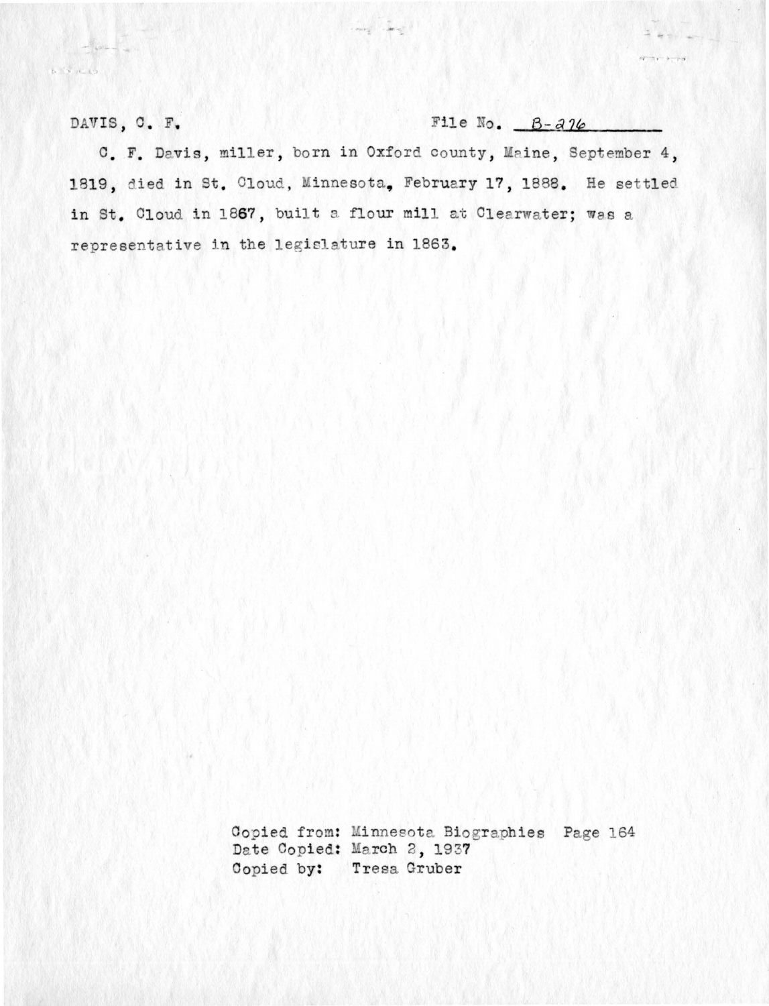DAVIS, C. F.

a l'inclu

File No.  $B - a$   $16$ 

 $= - -$ 

 $-97 - 9 - 79$ 

C. F. Davis, miller, born in Oxford county, Maine, September 4, 1819, died in St. Cloud, Minnesota, February 17, 1888. He settled in St. Cloud in 1867, built a flour mill at Clearwater; was a representative in the legislature in 1863.

of carry

Copied from: Minnesota Biographies Page 164 Date Copied: March 2, 1937 Copied by: Tresa Gruber